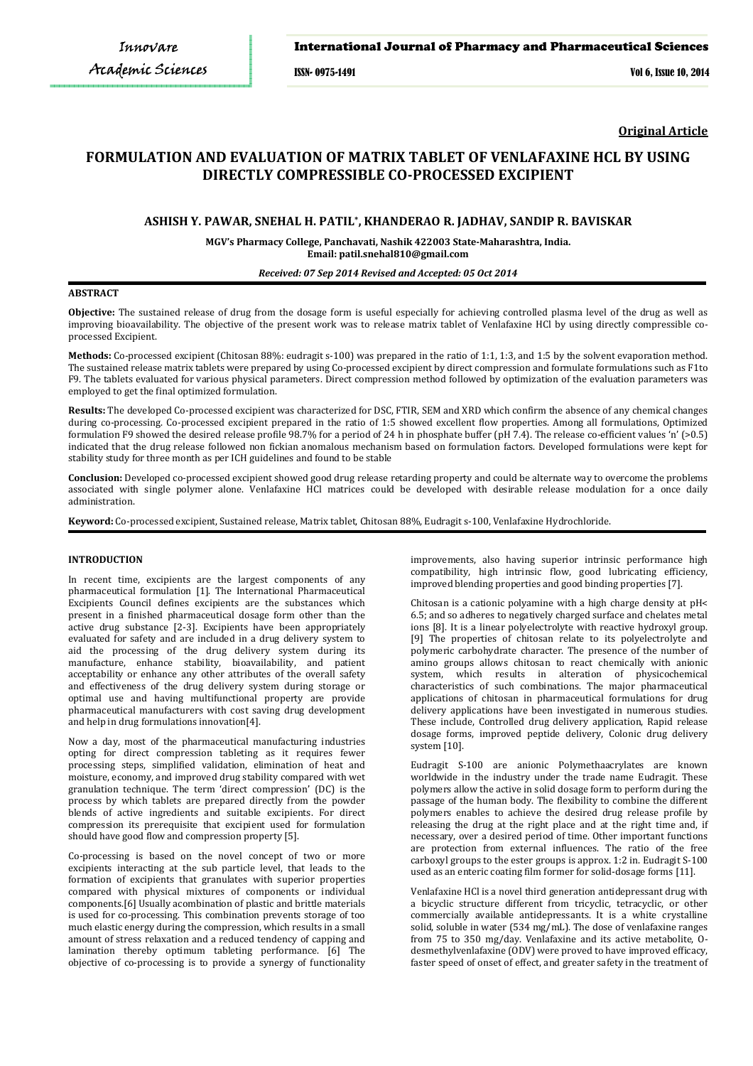## International Journal of Pharmacy and Pharmaceutical Sciences

ISSN- 0975-1491 Vol 6, Issue 10, 2014

**Original Article**

# **FORMULATION AND EVALUATION OF MATRIX TABLET OF VENLAFAXINE HCL BY USING DIRECTLY COMPRESSIBLE CO-PROCESSED EXCIPIENT**

## **ASHISH Y. PAWAR, SNEHAL H. PATIL\* , KHANDERAO R. JADHAV, SANDIP R. BAVISKAR**

**MGV's Pharmacy College, Panchavati, Nashik 422003 State-Maharashtra, India. Email: patil.snehal810@gmail.com** 

#### *Received: 07 Sep 2014 Revised and Accepted: 05 Oct 2014*

## **ABSTRACT**

**Objective:** The sustained release of drug from the dosage form is useful especially for achieving controlled plasma level of the drug as well as improving bioavailability. The objective of the present work was to release matrix tablet of Venlafaxine HCl by using directly compressible coprocessed Excipient.

**Methods:** Co-processed excipient (Chitosan 88%: eudragit s-100) was prepared in the ratio of 1:1, 1:3, and 1:5 by the solvent evaporation method. The sustained release matrix tablets were prepared by using Co-processed excipient by direct compression and formulate formulations such as F1to F9. The tablets evaluated for various physical parameters. Direct compression method followed by optimization of the evaluation parameters was employed to get the final optimized formulation.

**Results:** The developed Co-processed excipient was characterized for DSC, FTIR, SEM and XRD which confirm the absence of any chemical changes during co-processing. Co-processed excipient prepared in the ratio of 1:5 showed excellent flow properties. Among all formulations, Optimized formulation F9 showed the desired release profile 98.7% for a period of 24 h in phosphate buffer (pH 7.4). The release co-efficient values 'n' (>0.5) indicated that the drug release followed non fickian anomalous mechanism based on formulation factors. Developed formulations were kept for stability study for three month as per ICH guidelines and found to be stable

**Conclusion:** Developed co-processed excipient showed good drug release retarding property and could be alternate way to overcome the problems associated with single polymer alone. Venlafaxine HCl matrices could be developed with desirable release modulation for a once daily administration.

**Keyword:** Co-processed excipient, Sustained release, Matrix tablet, Chitosan 88%, Eudragit s-100, Venlafaxine Hydrochloride.

## **INTRODUCTION**

In recent time, excipients are the largest components of any pharmaceutical formulation [1]. The International Pharmaceutical Excipients Council defines excipients are the substances which present in a finished pharmaceutical dosage form other than the active drug substance [2-3]. Excipients have been appropriately evaluated for safety and are included in a drug delivery system to aid the processing of the drug delivery system during its manufacture, enhance stability, bioavailability, and patient acceptability or enhance any other attributes of the overall safety and effectiveness of the drug delivery system during storage or optimal use and having multifunctional property are provide pharmaceutical manufacturers with cost saving drug development and help in drug formulations innovation[4].

Now a day, most of the pharmaceutical manufacturing industries opting for direct compression tableting as it requires fewer processing steps, simplified validation, elimination of heat and moisture, economy, and improved drug stability compared with wet granulation technique. The term 'direct compression' (DC) is the process by which tablets are prepared directly from the powder blends of active ingredients and suitable excipients. For direct compression its prerequisite that excipient used for formulation should have good flow and compression property [5].

Co-processing is based on the novel concept of two or more excipients interacting at the sub particle level, that leads to the formation of excipients that granulates with superior properties compared with physical mixtures of components or individual components.[6] Usually acombination of plastic and brittle materials is used for co-processing. This combination prevents storage of too much elastic energy during the compression, which results in a small amount of stress relaxation and a reduced tendency of capping and lamination thereby optimum tableting performance. [6] The objective of co-processing is to provide a synergy of functionality improvements, also having superior intrinsic performance high compatibility, high intrinsic flow, good lubricating efficiency, improved blending properties and good binding properties [7].

Chitosan is a cationic polyamine with a high charge density at pH< 6.5; and so adheres to negatively charged surface and chelates metal ions [8]. It is a linear polyelectrolyte with reactive hydroxyl group. [9] The properties of chitosan relate to its polyelectrolyte and polymeric carbohydrate character. The presence of the number of amino groups allows chitosan to react chemically with anionic system, which results in alteration of physicochemical characteristics of such combinations. The major pharmaceutical applications of chitosan in pharmaceutical formulations for drug delivery applications have been investigated in numerous studies. These include, Controlled drug delivery application, Rapid release dosage forms, improved peptide delivery, Colonic drug delivery system [10].

Eudragit S-100 are anionic Polymethaacrylates are known worldwide in the industry under the trade name Eudragit. These polymers allow the active in solid dosage form to perform during the passage of the human body. The flexibility to combine the different polymers enables to achieve the desired drug release profile by releasing the drug at the right place and at the right time and, if necessary, over a desired period of time. Other important functions are protection from external influences. The ratio of the free carboxyl groups to the ester groups is approx. 1:2 in. Eudragit S-100 used as an enteric coating film former for solid-dosage forms [11].

Venlafaxine HCl is a novel third generation antidepressant drug with a bicyclic structure different from tricyclic, tetracyclic, or other commercially available antidepressants. It is a white crystalline solid, soluble in water (534 mg/mL). The dose of venlafaxine ranges from 75 to 350 mg/day. Venlafaxine and its active metabolite, Odesmethylvenlafaxine (ODV) were proved to have improved efficacy, faster speed of onset of effect, and greater safety in the treatment of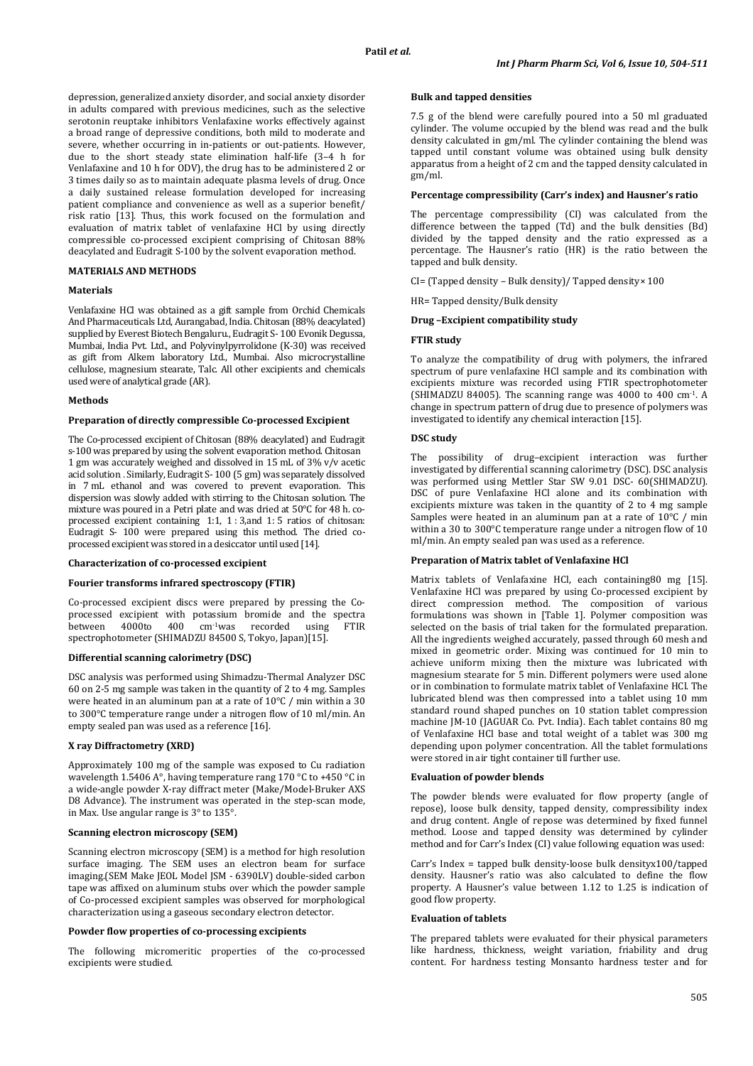depression, generalized anxiety disorder, and social anxiety disorder in adults compared with previous medicines, such as the selective serotonin reuptake inhibitors Venlafaxine works effectively against a broad range of depressive conditions, both mild to moderate and severe, whether occurring in in-patients or out-patients. However, due to the short steady state elimination half-life (3–4 h for Venlafaxine and 10 h for ODV), the drug has to be administered 2 or 3 times daily so as to maintain adequate plasma levels of drug. Once a daily sustained release formulation developed for increasing patient compliance and convenience as well as a superior benefit/ risk ratio [13]. Thus, this work focused on the formulation and evaluation of matrix tablet of venlafaxine HCl by using directly compressible co-processed excipient comprising of Chitosan 88% deacylated and Eudragit S-100 by the solvent evaporation method.

## **MATERIALS AND METHODS**

## **Materials**

Venlafaxine HCl was obtained as a gift sample from Orchid Chemicals And Pharmaceuticals Ltd, Aurangabad, India. Chitosan (88% deacylated) supplied by Everest Biotech Bengaluru., Eudragit S- 100 Evonik Degussa, Mumbai, India Pvt. Ltd., and Polyvinylpyrrolidone (K-30) was received as gift from Alkem laboratory Ltd., Mumbai. Also microcrystalline cellulose, magnesium stearate, Talc. All other excipients and chemicals used were of analytical grade (AR).

#### **Methods**

#### **Preparation of directly compressible Co-processed Excipient**

The Co-processed excipient of Chitosan (88% deacylated) and Eudragit s-100 was prepared by using the solvent evaporation method. Chitosan 1 gm was accurately weighed and dissolved in 15 mL of 3% v/v acetic acid solution . Similarly, Eudragit S- 100 (5 gm) was separately dissolved in 7 mL ethanol and was covered to prevent evaporation. This dispersion was slowly added with stirring to the Chitosan solution. The mixture was poured in a Petri plate and was dried at 50°C for 48 h. coprocessed excipient containing 1:1, 1 : 3,and 1: 5 ratios of chitosan: Eudragit S- 100 were prepared using this method. The dried coprocessed excipient was stored in a desiccator until used [14].

#### **Characterization of co-processed excipient**

## **Fourier transforms infrared spectroscopy (FTIR)**

Co-processed excipient discs were prepared by pressing the Coprocessed excipient with potassium bromide and the spectra<br>between 4000to 400 cm<sup>-1</sup>was recorded using FTIR recorded using spectrophotometer (SHIMADZU 84500 S, Tokyo, Japan)[15].

## **Differential scanning calorimetry (DSC)**

DSC analysis was performed using Shimadzu-Thermal Analyzer DSC 60 on 2-5 mg sample was taken in the quantity of 2 to 4 mg. Samples were heated in an aluminum pan at a rate of 10°C / min within a 30 to 300°C temperature range under a nitrogen flow of 10 ml/min. An empty sealed pan was used as a reference [16].

#### **X ray Diffractometry (XRD)**

Approximately 100 mg of the sample was exposed to Cu radiation wavelength 1.5406 A°, having temperature rang 170 °C to +450 °C in a wide-angle powder X-ray diffract meter (Make/Model-Bruker AXS D8 Advance). The instrument was operated in the step-scan mode, in Max. Use angular range is 3° to 135°.

#### **Scanning electron microscopy (SEM)**

Scanning electron microscopy (SEM) is a method for high resolution surface imaging. The SEM uses an electron beam for surface imaging.(SEM Make JEOL Model JSM - 6390LV) double-sided carbon tape was affixed on aluminum stubs over which the powder sample of Co-processed excipient samples was observed for morphological characterization using a gaseous secondary electron detector.

## **Powder flow properties of co-processing excipients**

The following micromeritic properties of the co-processed excipients were studied.

#### **Bulk and tapped densities**

7.5 g of the blend were carefully poured into a 50 ml graduated cylinder. The volume occupied by the blend was read and the bulk density calculated in gm/ml. The cylinder containing the blend was tapped until constant volume was obtained using bulk density apparatus from a height of 2 cm and the tapped density calculated in gm/ml.

## **Percentage compressibility (Carr's index) and Hausner's ratio**

The percentage compressibility (CI) was calculated from the difference between the tapped (Td) and the bulk densities (Bd) divided by the tapped density and the ratio expressed as a percentage. The Hausner's ratio (HR) is the ratio between the tapped and bulk density.

CI= (Tapped density – Bulk density)/ Tapped density× 100

HR= Tapped density/Bulk density

#### **Drug –Excipient compatibility study**

## **FTIR study**

To analyze the compatibility of drug with polymers, the infrared spectrum of pure venlafaxine HCl sample and its combination with excipients mixture was recorded using FTIR spectrophotometer (SHIMADZU 84005). The scanning range was 4000 to 400 cm-1. A change in spectrum pattern of drug due to presence of polymers was investigated to identify any chemical interaction [15].

## **DSC study**

The possibility of drug–excipient interaction was further investigated by differential scanning calorimetry (DSC). DSC analysis was performed using Mettler Star SW 9.01 DSC- 60(SHIMADZU). DSC of pure Venlafaxine HCl alone and its combination with excipients mixture was taken in the quantity of 2 to 4 mg sample Samples were heated in an aluminum pan at a rate of 10°C / min within a 30 to 300°C temperature range under a nitrogen flow of 10 ml/min. An empty sealed pan was used as a reference.

#### **Preparation of Matrix tablet of Venlafaxine HCl**

Matrix tablets of Venlafaxine HCl, each containing80 mg [15]. Venlafaxine HCl was prepared by using Co-processed excipient by direct compression method. The composition of various formulations was shown in [Table 1]. Polymer composition was selected on the basis of trial taken for the formulated preparation. All the ingredients weighed accurately, passed through 60 mesh and mixed in geometric order. Mixing was continued for 10 min to achieve uniform mixing then the mixture was lubricated with magnesium stearate for 5 min. Different polymers were used alone or in combination to formulate matrix tablet of Venlafaxine HCl. The lubricated blend was then compressed into a tablet using 10 mm standard round shaped punches on 10 station tablet compression machine JM-10 (JAGUAR Co. Pvt. India). Each tablet contains 80 mg of Venlafaxine HCl base and total weight of a tablet was 300 mg depending upon polymer concentration. All the tablet formulations were stored in air tight container till further use.

#### **Evaluation of powder blends**

The powder blends were evaluated for flow property (angle of repose), loose bulk density, tapped density, compressibility index and drug content. Angle of repose was determined by fixed funnel method. Loose and tapped density was determined by cylinder method and for Carr's Index (CI) value following equation was used:

Carr's Index = tapped bulk density-loose bulk densityx100/tapped density. Hausner's ratio was also calculated to define the flow property. A Hausner's value between 1.12 to 1.25 is indication of good flow property.

#### **Evaluation of tablets**

The prepared tablets were evaluated for their physical parameters like hardness, thickness, weight variation, friability and drug content. For hardness testing Monsanto hardness tester and for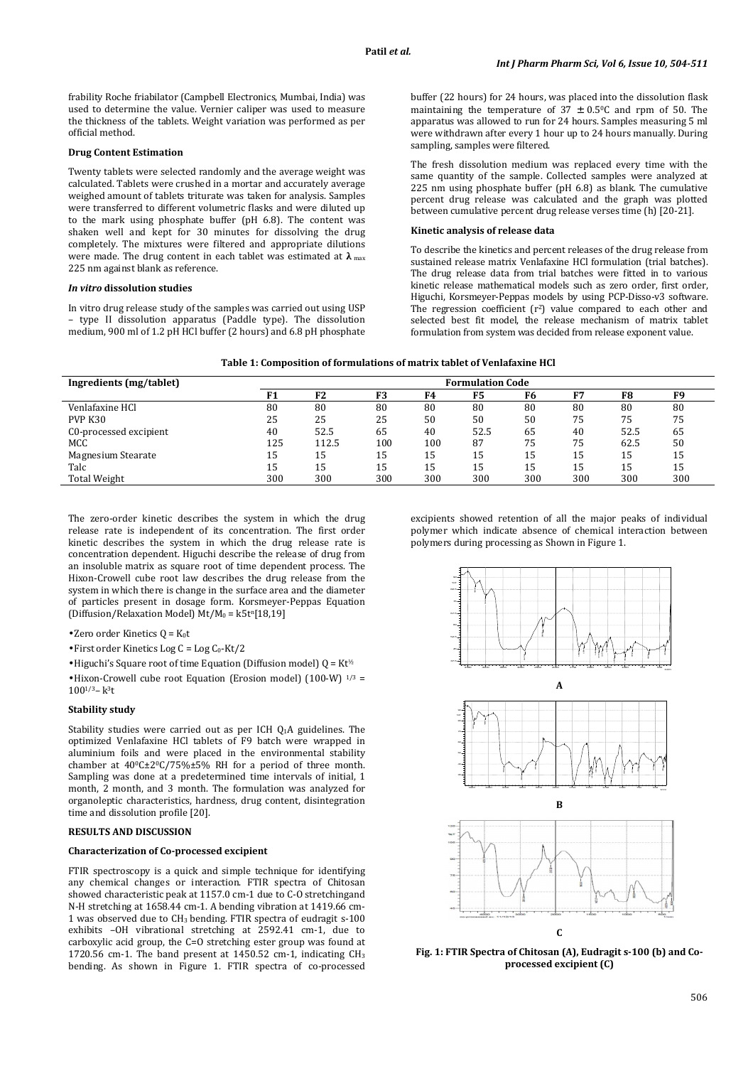frability Roche friabilator (Campbell Electronics, Mumbai, India) was used to determine the value. Vernier caliper was used to measure the thickness of the tablets. Weight variation was performed as per official method.

#### **Drug Content Estimation**

Twenty tablets were selected randomly and the average weight was calculated. Tablets were crushed in a mortar and accurately average weighed amount of tablets triturate was taken for analysis. Samples were transferred to different volumetric flasks and were diluted up to the mark using phosphate buffer (pH 6.8). The content was shaken well and kept for 30 minutes for dissolving the drug completely. The mixtures were filtered and appropriate dilutions were made. The drug content in each tablet was estimated at **λ** max 225 nm against blank as reference.

## *In vitro* **dissolution studies**

In vitro drug release study of the samples was carried out using USP – type II dissolution apparatus (Paddle type). The dissolution medium, 900 ml of 1.2 pH HCl buffer (2 hours) and 6.8 pH phosphate buffer (22 hours) for 24 hours, was placed into the dissolution flask maintaining the temperature of  $37 \pm 0.5$ °C and rpm of 50. The apparatus was allowed to run for 24 hours. Samples measuring 5 ml were withdrawn after every 1 hour up to 24 hours manually. During sampling, samples were filtered.

The fresh dissolution medium was replaced every time with the same quantity of the sample. Collected samples were analyzed at 225 nm using phosphate buffer (pH 6.8) as blank. The cumulative percent drug release was calculated and the graph was plotted between cumulative percent drug release verses time (h) [20-21].

## **Kinetic analysis of release data**

To describe the kinetics and percent releases of the drug release from sustained release matrix Venlafaxine HCl formulation (trial batches). The drug release data from trial batches were fitted in to various kinetic release mathematical models such as zero order, first order, Higuchi, Korsmeyer-Peppas models by using PCP-Disso-v3 software. The regression coefficient  $(r^2)$  value compared to each other and selected best fit model, the release mechanism of matrix tablet formulation from system was decided from release exponent value.

| Table 1: Composition of formulations of matrix tablet of Venlafaxine HCl |  |  |  |
|--------------------------------------------------------------------------|--|--|--|
|--------------------------------------------------------------------------|--|--|--|

| Ingredients (mg/tablet) | <b>Formulation Code</b> |                |     |     |      |     |     |      |     |
|-------------------------|-------------------------|----------------|-----|-----|------|-----|-----|------|-----|
|                         |                         | F <sub>2</sub> | F3  | F4  | F5   | F6  | F7  | F8   | F9  |
| Venlafaxine HCl         | 80                      | 80             | 80  | 80  | 80   | 80  | 80  | 80   | 80  |
| PVP K30                 | 25                      | 25             | 25  | 50  | 50   | 50  | 75  | 75   | 75  |
| C0-processed excipient  | 40                      | 52.5           | 65  | 40  | 52.5 | 65  | 40  | 52.5 | 65  |
| MCC                     | 125                     | 112.5          | 100 | 100 | 87   | 75  | 75  | 62.5 | 50  |
| Magnesium Stearate      | 15                      | 15             | 15  | 15  | 15   | 15  | 15  | 15   | 15  |
| Talc                    | 15                      | 15             | 15  | 15  | 15   | 15  | 15  | 15   | 15  |
| <b>Total Weight</b>     | 300                     | 300            | 300 | 300 | 300  | 300 | 300 | 300  | 300 |

The zero-order kinetic describes the system in which the drug release rate is independent of its concentration. The first order kinetic describes the system in which the drug release rate is concentration dependent. Higuchi describe the release of drug from an insoluble matrix as square root of time dependent process. The Hixon-Crowell cube root law describes the drug release from the system in which there is change in the surface area and the diameter of particles present in dosage form. Korsmeyer-Peppas Equation (Diffusion/Relaxation Model) Mt/M<sub>0</sub> = k5t<sup>n</sup>[18,19]

•Zero order Kinetics  $Q = K_0 t$ 

• First order Kinetics Log  $C = Log C_0-Kt/2$ 

• Higuchi's Square root of time Equation (Diffusion model)  $Q = Kt^{\frac{1}{2}}$ 

•Hixon-Crowell cube root Equation (Erosion model) (100-W)  $^{1/3}$  =  $100^{1/3} - k^3t$ 

#### **Stability study**

Stability studies were carried out as per ICH Q1A guidelines. The optimized Venlafaxine HCl tablets of F9 batch were wrapped in aluminium foils and were placed in the environmental stability chamber at  $40^{\circ}$ C $\pm$ 2 $^{\circ}$ C/75% $\pm$ 5% RH for a period of three month. Sampling was done at a predetermined time intervals of initial, 1 month, 2 month, and 3 month. The formulation was analyzed for organoleptic characteristics, hardness, drug content, disintegration time and dissolution profile [20].

# **RESULTS AND DISCUSSION**

## **Characterization of Co-processed excipient**

FTIR spectroscopy is a quick and simple technique for identifying any chemical changes or interaction. FTIR spectra of Chitosan showed characteristic peak at 1157.0 cm-1 due to C-O stretchingand N-H stretching at 1658.44 cm-1. A bending vibration at 1419.66 cm-1 was observed due to CH3 bending. FTIR spectra of eudragit s-100 exhibits –OH vibrational stretching at 2592.41 cm-1, due to carboxylic acid group, the C=O stretching ester group was found at 1720.56 cm-1. The band present at 1450.52 cm-1, indicating CH<sup>3</sup> bending. As shown in Figure 1. FTIR spectra of co-processed

excipients showed retention of all the major peaks of individual polymer which indicate absence of chemical interaction between polymers during processing as Shown in Figure 1.



**Fig. 1: FTIR Spectra of Chitosan (A), Eudragit s-100 (b) and Coprocessed excipient (C)**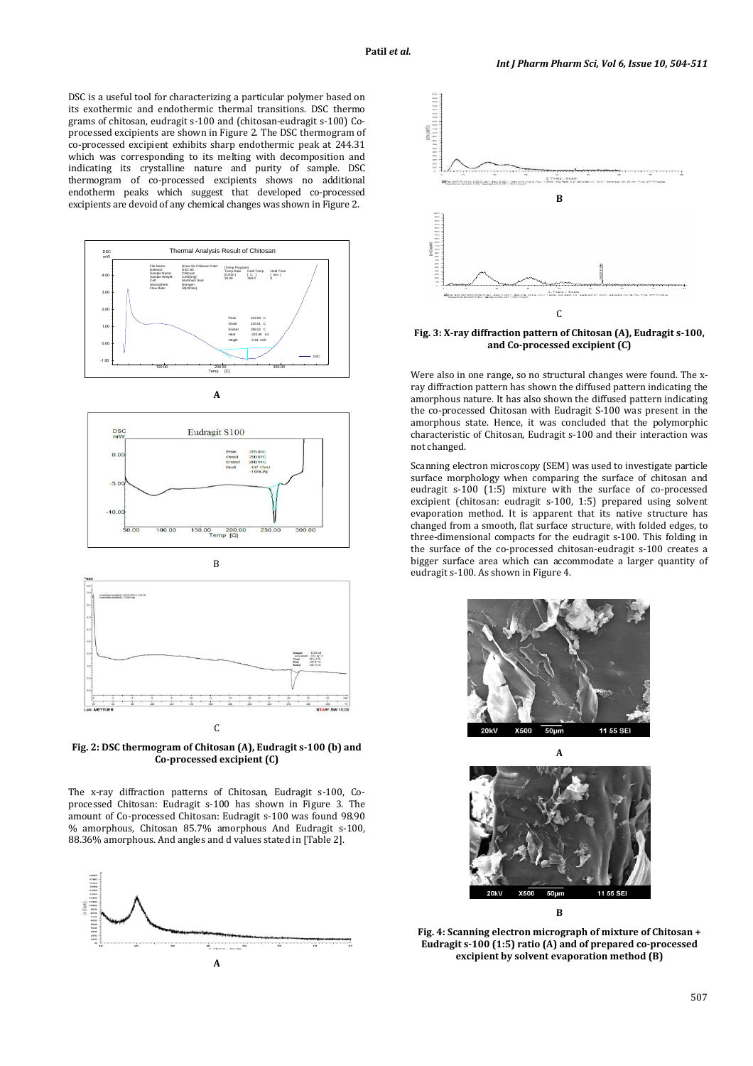DSC is a useful tool for characterizing a particular polymer based on its exothermic and endothermic thermal transitions. DSC thermo grams of chitosan, eudragit s-100 and (chitosan-eudragit s-100) Coprocessed excipients are shown in Figure 2. The DSC thermogram of co-processed excipient exhibits sharp endothermic peak at 244.31 which was corresponding to its melting with decomposition and indicating its crystalline nature and purity of sample. DSC thermogram of co-processed excipients shows no additional endotherm peaks which suggest that developed co-processed excipients are devoid of any chemical changes was shown in Figure 2.











The x-ray diffraction patterns of Chitosan, Eudragit s-100, Coprocessed Chitosan: Eudragit s-100 has shown in Figure 3. The amount of Co-processed Chitosan: Eudragit s-100 was found 98.90 % amorphous, Chitosan 85.7% amorphous And Eudragit s-100, 88.36% amorphous. And angles and d values stated in [Table 2].





**Fig. 3: X-ray diffraction pattern of Chitosan (A), Eudragit s-100, and Co-processed excipient (C)** 

Were also in one range, so no structural changes were found. The xray diffraction pattern has shown the diffused pattern indicating the amorphous nature. It has also shown the diffused pattern indicating the co-processed Chitosan with Eudragit S-100 was present in the amorphous state. Hence, it was concluded that the polymorphic characteristic of Chitosan, Eudragit s-100 and their interaction was not changed.

Scanning electron microscopy (SEM) was used to investigate particle surface morphology when comparing the surface of chitosan and eudragit s-100 (1:5) mixture with the surface of co-processed excipient (chitosan: eudragit s-100, 1:5) prepared using solvent evaporation method. It is apparent that its native structure has changed from a smooth, flat surface structure, with folded edges, to three-dimensional compacts for the eudragit s-100. This folding in the surface of the co-processed chitosan-eudragit s-100 creates a bigger surface area which can accommodate a larger quantity of eudragit s-100. As shown in Figure 4.





**Fig. 4: Scanning electron micrograph of mixture of Chitosan + Eudragit s-100 (1:5) ratio (A) and of prepared co-processed excipient by solvent evaporation method (B)**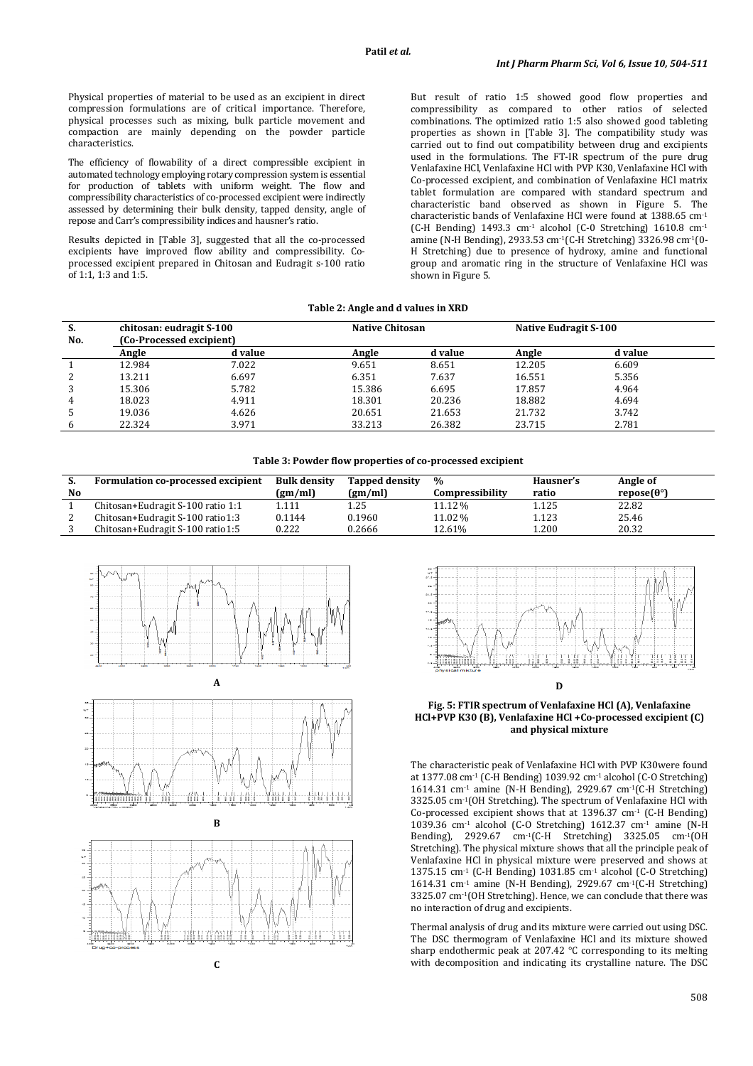Physical properties of material to be used as an excipient in direct compression formulations are of critical importance. Therefore, physical processes such as mixing, bulk particle movement and compaction are mainly depending on the powder particle characteristics.

The efficiency of flowability of a direct compressible excipient in automated technology employing rotary compression system is essential for production of tablets with uniform weight. The flow and compressibility characteristics of co-processed excipient were indirectly assessed by determining their bulk density, tapped density, angle of repose and Carr's compressibility indices and hausner's ratio.

Results depicted in [Table 3], suggested that all the co-processed excipients have improved flow ability and compressibility. Coprocessed excipient prepared in Chitosan and Eudragit s-100 ratio  $0.61 \cdot 1.1$  1:3 and  $1.5$ .

But result of ratio 1:5 showed good flow properties and compressibility as compared to other ratios of selected combinations. The optimized ratio 1:5 also showed good tableting properties as shown in [Table 3]. The compatibility study was carried out to find out compatibility between drug and excipients used in the formulations. The FT-IR spectrum of the pure drug Venlafaxine HCl, Venlafaxine HCl with PVP K30, Venlafaxine HCl with Co-processed excipient, and combination of Venlafaxine HCl matrix tablet formulation are compared with standard spectrum and characteristic band observed as shown in Figure 5. The characteristic bands of Venlafaxine HCl were found at 1388.65 cm-1 (C-H Bending) 1493.3 cm<sup>-1</sup> alcohol (C-0 Stretching) 1610.8 cm<sup>-1</sup> amine (N-H Bending), 2933.53 cm-1(C-H Stretching) 3326.98 cm-1(0- H Stretching) due to presence of hydroxy, amine and functional group and aromatic ring in the structure of Venlafaxine HCl was shown in Figure 5.

**Table 2: Angle and d values in XRD** 

| S.<br>No. | chitosan: eudragit S-100<br>(Co-Processed excipient) |         | <b>Native Chitosan</b> |         | Native Eudragit S-100 |         |  |
|-----------|------------------------------------------------------|---------|------------------------|---------|-----------------------|---------|--|
|           | Angle                                                | d value | Angle                  | d value | Angle                 | d value |  |
|           | 12.984                                               | 7.022   | 9.651                  | 8.651   | 12.205                | 6.609   |  |
|           | 13.211                                               | 6.697   | 6.351                  | 7.637   | 16.551                | 5.356   |  |
| 3         | 15.306                                               | 5.782   | 15.386                 | 6.695   | 17.857                | 4.964   |  |
| 4         | 18.023                                               | 4.911   | 18.301                 | 20.236  | 18.882                | 4.694   |  |
| 5         | 19.036                                               | 4.626   | 20.651                 | 21.653  | 21.732                | 3.742   |  |
|           | 22.324                                               | 3.971   | 33.213                 | 26.382  | 23.715                | 2.781   |  |

**Table 3: Powder flow properties of co-processed excipient**

| כ. | Formulation co-processed excipient | Bulk density | <b>Tapped density</b> | $\frac{9}{6}$   | Hausner's | Angle of                  |
|----|------------------------------------|--------------|-----------------------|-----------------|-----------|---------------------------|
| No |                                    | (gm/ml)      | (gm/ml)               | Compressibility | ratio     | repose $(\theta^{\circ})$ |
|    | Chitosan+Eudragit S-100 ratio 1:1  | 1.111        | 1.25                  | 11.12 %         | 1.125     | 22.82                     |
|    | Chitosan+Eudragit S-100 ratio1:3   | 0.1144       | 0.1960                | 11.02 %         | 1.123     | 25.46                     |
|    | Chitosan+Eudragit S-100 ratio1:5   | 0.222        | 0.2666                | 12.61%          | 1.200     | 20.32                     |







**C** 



**D** 

**Fig. 5: FTIR spectrum of Venlafaxine HCl (A), Venlafaxine HCl+PVP K30 (B), Venlafaxine HCl +Co-processed excipient (C) and physical mixture** 

The characteristic peak of Venlafaxine HCl with PVP K30were found at 1377.08 cm-1 (C-H Bending) 1039.92 cm-1 alcohol (C-O Stretching) 1614.31 cm-1 amine (N-H Bending), 2929.67 cm-1(C-H Stretching) 3325.05 cm-1(OH Stretching). The spectrum of Venlafaxine HCl with Co-processed excipient shows that at  $1396.37$  cm<sup>-1</sup> (C-H Bending) 1039.36 cm<sup>-1</sup> alcohol (C-O Stretching) 1612.37 cm<sup>-1</sup> amine (N-H) Bending), 2929.67 cm-1(C-H Stretching) 3325.05 cm-1(OH Stretching). The physical mixture shows that all the principle peak of Venlafaxine HCl in physical mixture were preserved and shows at 1375.15 cm<sup>-1</sup> (C-H Bending) 1031.85 cm<sup>-1</sup> alcohol (C-O Stretching) 1614.31 cm-1 amine (N-H Bending), 2929.67 cm-1(C-H Stretching) 3325.07 cm-1(OH Stretching). Hence, we can conclude that there was no interaction of drug and excipients.

Thermal analysis of drug and its mixture were carried out using DSC. The DSC thermogram of Venlafaxine HCl and its mixture showed sharp endothermic peak at 207.42 °C corresponding to its melting with decomposition and indicating its crystalline nature. The DSC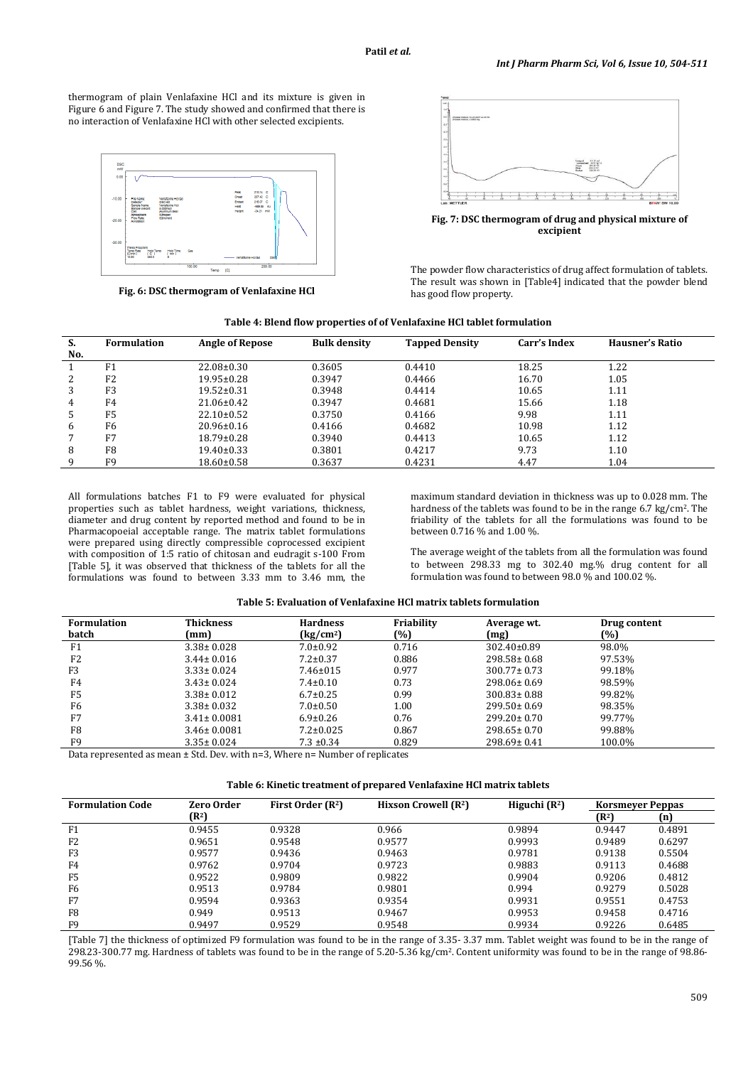thermogram of plain Venlafaxine HCl and its mixture is given in Figure 6 and Figure 7. The study showed and confirmed that there is no interaction of Venlafaxine HCl with other selected excipients.



**Fig. 6: DSC thermogram of Venlafaxine HCl** 



**Fig. 7: DSC thermogram of drug and physical mixture of excipient** 

The powder flow characteristics of drug affect formulation of tablets. The result was shown in [Table4] indicated that the powder blend has good flow property.

| Table 4: Blend flow properties of of Venlafaxine HCl tablet formulation |  |  |
|-------------------------------------------------------------------------|--|--|
|                                                                         |  |  |

| S.  | <b>Formulation</b> | <b>Angle of Repose</b> | <b>Bulk density</b> | <b>Tapped Density</b> | Carr's Index | Hausner's Ratio |
|-----|--------------------|------------------------|---------------------|-----------------------|--------------|-----------------|
| No. |                    |                        |                     |                       |              |                 |
|     | F <sub>1</sub>     | $22.08 \pm 0.30$       | 0.3605              | 0.4410                | 18.25        | 1.22            |
| 2   | F <sub>2</sub>     | $19.95 \pm 0.28$       | 0.3947              | 0.4466                | 16.70        | 1.05            |
| 3   | F <sub>3</sub>     | $19.52 \pm 0.31$       | 0.3948              | 0.4414                | 10.65        | 1.11            |
| 4   | F4                 | $21.06 \pm 0.42$       | 0.3947              | 0.4681                | 15.66        | 1.18            |
| 5   | F <sub>5</sub>     | $22.10 \pm 0.52$       | 0.3750              | 0.4166                | 9.98         | 1.11            |
| 6   | F6                 | $20.96 \pm 0.16$       | 0.4166              | 0.4682                | 10.98        | 1.12            |
|     | F7                 | $18.79 \pm 0.28$       | 0.3940              | 0.4413                | 10.65        | 1.12            |
| 8   | F8                 | $19.40 \pm 0.33$       | 0.3801              | 0.4217                | 9.73         | 1.10            |
| q   | F <sub>9</sub>     | 18.60±0.58             | 0.3637              | 0.4231                | 4.47         | 1.04            |

All formulations batches F1 to F9 were evaluated for physical properties such as tablet hardness, weight variations, thickness, diameter and drug content by reported method and found to be in Pharmacopoeial acceptable range. The matrix tablet formulations were prepared using directly compressible coprocessed excipient with composition of 1:5 ratio of chitosan and eudragit s-100 From [Table 5], it was observed that thickness of the tablets for all the formulations was found to between 3.33 mm to 3.46 mm, the

maximum standard deviation in thickness was up to 0.028 mm. The hardness of the tablets was found to be in the range 6.7 kg/cm<sup>2</sup>. The friability of the tablets for all the formulations was found to be between 0.716 % and 1.00 %.

The average weight of the tablets from all the formulation was found to between 298.33 mg to 302.40 mg.% drug content for all formulation was found to between 98.0 % and 100.02 %.

| <b>Formulation</b> | <b>Thickness</b>                                                          | <b>Hardness</b>                 | Friability | Average wt.       | Drug content |
|--------------------|---------------------------------------------------------------------------|---------------------------------|------------|-------------------|--------------|
| batch              | (mm)                                                                      | $\frac{\text{kg}}{\text{cm}^2}$ | (%)        | (mg)              | (%)          |
| F1                 | $3.38 \pm 0.028$                                                          | $7.0 \pm 0.92$                  | 0.716      | $302.40 \pm 0.89$ | 98.0%        |
| F <sub>2</sub>     | $3.44 \pm 0.016$                                                          | $7.2 \pm 0.37$                  | 0.886      | $298.58 \pm 0.68$ | 97.53%       |
| F3                 | $3.33 \pm 0.024$                                                          | $7.46 \pm 015$                  | 0.977      | $300.77 \pm 0.73$ | 99.18%       |
| F4                 | $3.43 \pm 0.024$                                                          | $7.4 \pm 0.10$                  | 0.73       | $298.06 \pm 0.69$ | 98.59%       |
| F5                 | $3.38 \pm 0.012$                                                          | $6.7 \pm 0.25$                  | 0.99       | $300.83 \pm 0.88$ | 99.82%       |
| F6                 | $3.38 \pm 0.032$                                                          | $7.0 \pm 0.50$                  | 1.00       | $299.50 \pm 0.69$ | 98.35%       |
| F7                 | $3.41 \pm 0.0081$                                                         | $6.9 \pm 0.26$                  | 0.76       | $299.20 \pm 0.70$ | 99.77%       |
| F8                 | $3.46 \pm 0.0081$                                                         | $7.2 \pm 0.025$                 | 0.867      | $298.65 \pm 0.70$ | 99.88%       |
| F9                 | $3.35 \pm 0.024$                                                          | $7.3 \pm 0.34$                  | 0.829      | 298.69± 0.41      | 100.0%       |
|                    | Data waxaaantad oo waan 1 Ctd. Day with n=2 Mlaaga n= Mwakay af wadigataa |                                 |            |                   |              |

Data represented as mean ± Std. Dev. with n=3, Where n= Number of replicates

| Table 6: Kinetic treatment of prepared Venlafaxine HCl matrix tablets |  |
|-----------------------------------------------------------------------|--|
|-----------------------------------------------------------------------|--|

| <b>Formulation Code</b> | <b>Zero Order</b><br>First Order $(R^2)$<br>Higuchi $(R^2)$<br>Hixson Crowell $(R^2)$ |        |        | <b>Korsmeyer Peppas</b> |                   |        |
|-------------------------|---------------------------------------------------------------------------------------|--------|--------|-------------------------|-------------------|--------|
|                         | $(\mathbb{R}^2)$                                                                      |        |        |                         | (R <sup>2</sup> ) | (n)    |
| F <sub>1</sub>          | 0.9455                                                                                | 0.9328 | 0.966  | 0.9894                  | 0.9447            | 0.4891 |
| F <sub>2</sub>          | 0.9651                                                                                | 0.9548 | 0.9577 | 0.9993                  | 0.9489            | 0.6297 |
| F3                      | 0.9577                                                                                | 0.9436 | 0.9463 | 0.9781                  | 0.9138            | 0.5504 |
| F4                      | 0.9762                                                                                | 0.9704 | 0.9723 | 0.9883                  | 0.9113            | 0.4688 |
| F <sub>5</sub>          | 0.9522                                                                                | 0.9809 | 0.9822 | 0.9904                  | 0.9206            | 0.4812 |
| F6                      | 0.9513                                                                                | 0.9784 | 0.9801 | 0.994                   | 0.9279            | 0.5028 |
| F7                      | 0.9594                                                                                | 0.9363 | 0.9354 | 0.9931                  | 0.9551            | 0.4753 |
| F8                      | 0.949                                                                                 | 0.9513 | 0.9467 | 0.9953                  | 0.9458            | 0.4716 |
| F9                      | 0.9497                                                                                | 0.9529 | 0.9548 | 0.9934                  | 0.9226            | 0.6485 |

[Table 7] the thickness of optimized F9 formulation was found to be in the range of 3.35- 3.37 mm. Tablet weight was found to be in the range of 298.23-300.77 mg. Hardness of tablets was found to be in the range of 5.20-5.36 kg/cm2. Content uniformity was found to be in the range of 98.86- 99.56 %.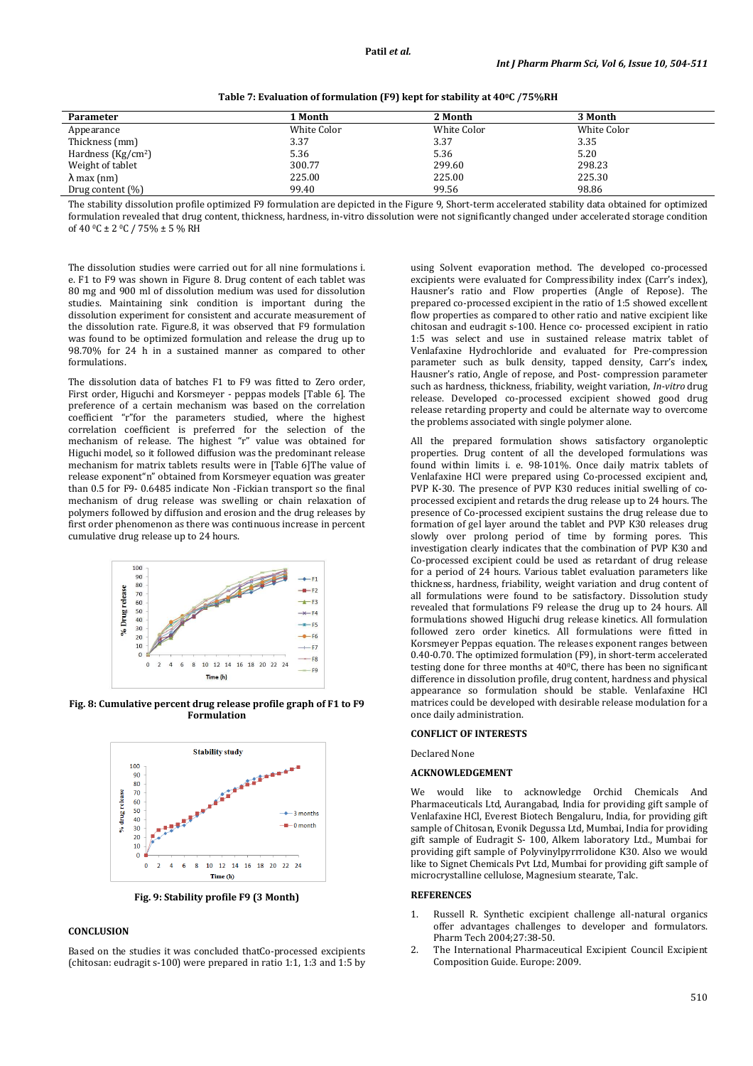**Table 7: Evaluation of formulation (F9) kept for stability at 400C /75%RH** 

| 1 Month     | 2 Month     | 3 Month     |
|-------------|-------------|-------------|
| White Color | White Color | White Color |
| 3.37        | 3.37        | 3.35        |
| 5.36        | 5.36        | 5.20        |
| 300.77      | 299.60      | 298.23      |
| 225.00      | 225.00      | 225.30      |
| 99.40       | 99.56       | 98.86       |
|             |             |             |

The stability dissolution profile optimized F9 formulation are depicted in the Figure 9, Short-term accelerated stability data obtained for optimized formulation revealed that drug content, thickness, hardness, in-vitro dissolution were not significantly changed under accelerated storage condition of 40 °C ± 2 °C / 75% ± 5 % RH

The dissolution studies were carried out for all nine formulations i. e. F1 to F9 was shown in Figure 8. Drug content of each tablet was 80 mg and 900 ml of dissolution medium was used for dissolution studies. Maintaining sink condition is important during the dissolution experiment for consistent and accurate measurement of the dissolution rate. Figure.8, it was observed that F9 formulation was found to be optimized formulation and release the drug up to 98.70% for 24 h in a sustained manner as compared to other formulations.

The dissolution data of batches F1 to F9 was fitted to Zero order, First order, Higuchi and Korsmeyer - peppas models [Table 6]. The preference of a certain mechanism was based on the correlation coefficient "r"for the parameters studied, where the highest correlation coefficient is preferred for the selection of the mechanism of release. The highest "r" value was obtained for Higuchi model, so it followed diffusion was the predominant release mechanism for matrix tablets results were in [Table 6]The value of release exponent"n" obtained from Korsmeyer equation was greater than 0.5 for F9- 0.6485 indicate Non -Fickian transport so the final mechanism of drug release was swelling or chain relaxation of polymers followed by diffusion and erosion and the drug releases by first order phenomenon as there was continuous increase in percent cumulative drug release up to 24 hours.



**Fig. 8: Cumulative percent drug release profile graph of F1 to F9 Formulation** 



**Fig. 9: Stability profile F9 (3 Month)** 

# **CONCLUSION**

Based on the studies it was concluded thatCo-processed excipients (chitosan: eudragit s-100) were prepared in ratio 1:1, 1:3 and 1:5 by

using Solvent evaporation method. The developed co-processed excipients were evaluated for Compressibility index (Carr's index), Hausner's ratio and Flow properties (Angle of Repose). The prepared co-processed excipient in the ratio of 1:5 showed excellent flow properties as compared to other ratio and native excipient like chitosan and eudragit s-100. Hence co- processed excipient in ratio 1:5 was select and use in sustained release matrix tablet of Venlafaxine Hydrochloride and evaluated for Pre-compression parameter such as bulk density, tapped density, Carr's index, Hausner's ratio, Angle of repose, and Post- compression parameter such as hardness, thickness, friability, weight variation, *In-vitro* drug release. Developed co-processed excipient showed good drug release retarding property and could be alternate way to overcome the problems associated with single polymer alone.

All the prepared formulation shows satisfactory organoleptic properties. Drug content of all the developed formulations was found within limits i. e. 98-101%. Once daily matrix tablets of Venlafaxine HCl were prepared using Co-processed excipient and, PVP K-30. The presence of PVP K30 reduces initial swelling of coprocessed excipient and retards the drug release up to 24 hours. The presence of Co-processed excipient sustains the drug release due to formation of gel layer around the tablet and PVP K30 releases drug slowly over prolong period of time by forming pores. This investigation clearly indicates that the combination of PVP K30 and Co-processed excipient could be used as retardant of drug release for a period of 24 hours. Various tablet evaluation parameters like thickness, hardness, friability, weight variation and drug content of all formulations were found to be satisfactory. Dissolution study revealed that formulations F9 release the drug up to 24 hours. All formulations showed Higuchi drug release kinetics. All formulation followed zero order kinetics. All formulations were fitted in Korsmeyer Peppas equation. The releases exponent ranges between 0.40-0.70. The optimized formulation (F9), in short-term accelerated testing done for three months at  $40^{\circ}$ C, there has been no significant difference in dissolution profile, drug content, hardness and physical appearance so formulation should be stable. Venlafaxine HCl matrices could be developed with desirable release modulation for a once daily administration.

## **CONFLICT OF INTERESTS**

# Declared None

#### **ACKNOWLEDGEMENT**

We would like to acknowledge Orchid Chemicals And Pharmaceuticals Ltd, Aurangabad, India for providing gift sample of Venlafaxine HCl, Everest Biotech Bengaluru, India, for providing gift sample of Chitosan, Evonik Degussa Ltd, Mumbai, India for providing gift sample of Eudragit S- 100, Alkem laboratory Ltd., Mumbai for providing gift sample of Polyvinylpyrrrolidone K30. Also we would like to Signet Chemicals Pvt Ltd, Mumbai for providing gift sample of microcrystalline cellulose, Magnesium stearate, Talc.

## **REFERENCES**

- 1. Russell R. Synthetic excipient challenge all-natural organics offer advantages challenges to developer and formulators. Pharm Tech 2004;27:38-50.
- 2. The International Pharmaceutical Excipient Council Excipient Composition Guide. Europe: 2009.